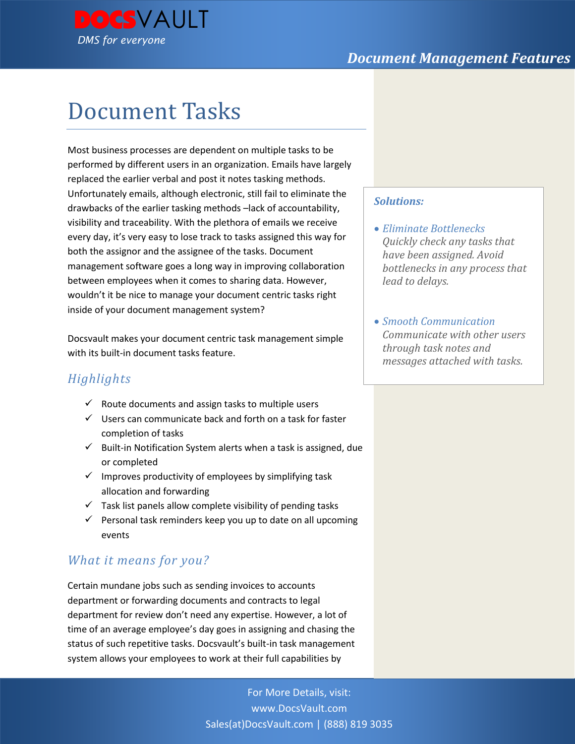

# Document Tasks

Most business processes are dependent on multiple tasks to be performed by different users in an organization. Emails have largely replaced the earlier verbal and post it notes tasking methods. Unfortunately emails, although electronic, still fail to eliminate the drawbacks of the earlier tasking methods –lack of accountability, visibility and traceability. With the plethora of emails we receive every day, it's very easy to lose track to tasks assigned this way for both the assignor and the assignee of the tasks. Document management software goes a long way in improving collaboration between employees when it comes to sharing data. However, wouldn't it be nice to manage your document centric tasks right inside of your document management system?

Docsvault makes your document centric task management simple with its built-in document tasks feature.

# *Highlights*

- $\checkmark$  Route documents and assign tasks to multiple users
- $\checkmark$  Users can communicate back and forth on a task for faster completion of tasks
- $\checkmark$  Built-in Notification System alerts when a task is assigned, due or completed
- $\checkmark$  Improves productivity of employees by simplifying task allocation and forwarding
- $\checkmark$  Task list panels allow complete visibility of pending tasks
- $\checkmark$  Personal task reminders keep you up to date on all upcoming events

# *What it means for you?*

Certain mundane jobs such as sending invoices to accounts department or forwarding documents and contracts to legal department for review don't need any expertise. However, a lot of time of an average employee's day goes in assigning and chasing the status of such repetitive tasks. Docsvault's built-in task management system allows your employees to work at their full capabilities by

# *Solutions:*

- *Eliminate Bottlenecks Quickly check any tasks that have been assigned. Avoid bottlenecks in any process that lead to delays.*
- *Smooth Communication Communicate with other users through task notes and messages attached with tasks.*